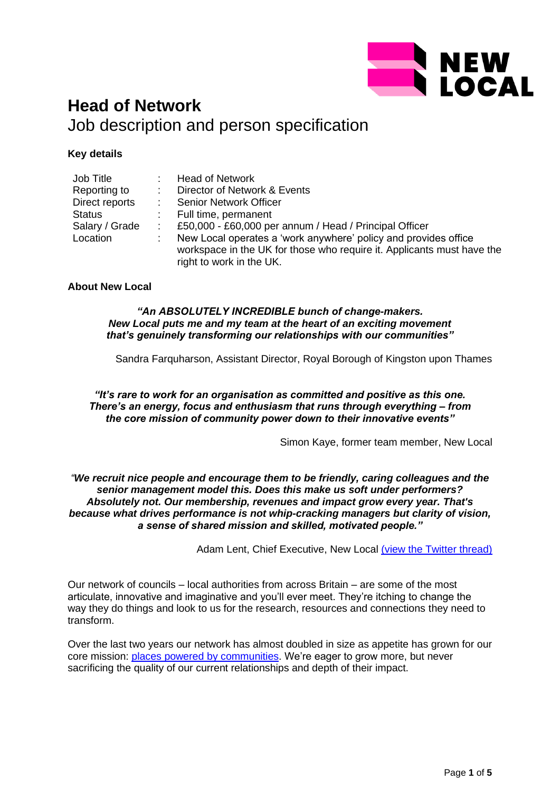

# **Head of Network** Job description and person specification

# **Key details**

| Job Title      | <b>Head of Network</b>                                                                                                                                                |
|----------------|-----------------------------------------------------------------------------------------------------------------------------------------------------------------------|
| Reporting to   | Director of Network & Events                                                                                                                                          |
| Direct reports | <b>Senior Network Officer</b>                                                                                                                                         |
| <b>Status</b>  | Full time, permanent                                                                                                                                                  |
| Salary / Grade | £50,000 - £60,000 per annum / Head / Principal Officer                                                                                                                |
| Location       | New Local operates a 'work anywhere' policy and provides office<br>workspace in the UK for those who require it. Applicants must have the<br>right to work in the UK. |

# **About New Local**

#### *"An ABSOLUTELY INCREDIBLE bunch of change-makers. New Local puts me and my team at the heart of an exciting movement that's genuinely transforming our relationships with our communities"*

Sandra Farquharson, Assistant Director, Royal Borough of Kingston upon Thames

*"It's rare to work for an organisation as committed and positive as this one. There's an energy, focus and enthusiasm that runs through everything – from the core mission of community power down to their innovative events"*

Simon Kaye, former team member, New Local

#### *"We recruit nice people and encourage them to be friendly, caring colleagues and the senior management model this. Does this make us soft under performers? Absolutely not. Our membership, revenues and impact grow every year. That's because what drives performance is not whip-cracking managers but clarity of vision, a sense of shared mission and skilled, motivated people."*

Adam Lent, Chief Executive, New Local [\(view the Twitter thread\)](https://twitter.com/adamjlent/status/1520028648648105984?s=21&t=yKUrQQmP99DJkL2Zj6DY5Q)

Our network of councils – local authorities from across Britain – are some of the most articulate, innovative and imaginative and you'll ever meet. They're itching to change the way they do things and look to us for the research, resources and connections they need to transform.

Over the last two years our network has almost doubled in size as appetite has grown for our core mission: [places powered by communities.](https://www.newlocal.org.uk/research/community-power/) We're eager to grow more, but never sacrificing the quality of our current relationships and depth of their impact.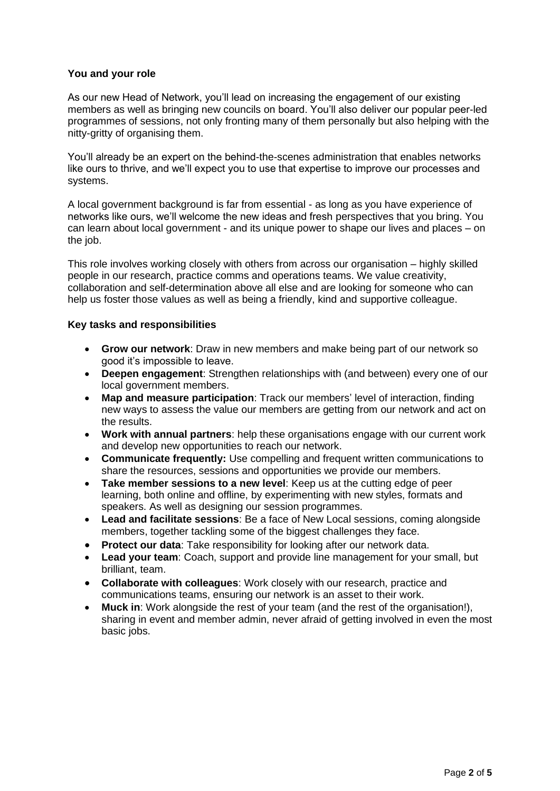### **You and your role**

As our new Head of Network, you'll lead on increasing the engagement of our existing members as well as bringing new councils on board. You'll also deliver our popular peer-led programmes of sessions, not only fronting many of them personally but also helping with the nitty-gritty of organising them.

You'll already be an expert on the behind-the-scenes administration that enables networks like ours to thrive, and we'll expect you to use that expertise to improve our processes and systems.

A local government background is far from essential - as long as you have experience of networks like ours, we'll welcome the new ideas and fresh perspectives that you bring. You can learn about local government - and its unique power to shape our lives and places – on the job.

This role involves working closely with others from across our organisation – highly skilled people in our research, practice comms and operations teams. We value creativity, collaboration and self-determination above all else and are looking for someone who can help us foster those values as well as being a friendly, kind and supportive colleague.

# **Key tasks and responsibilities**

- **Grow our network**: Draw in new members and make being part of our network so good it's impossible to leave.
- **Deepen engagement**: Strengthen relationships with (and between) every one of our local government members.
- **Map and measure participation**: Track our members' level of interaction, finding new ways to assess the value our members are getting from our network and act on the results.
- **Work with annual partners**: help these organisations engage with our current work and develop new opportunities to reach our network.
- **Communicate frequently:** Use compelling and frequent written communications to share the resources, sessions and opportunities we provide our members.
- **Take member sessions to a new level**: Keep us at the cutting edge of peer learning, both online and offline, by experimenting with new styles, formats and speakers. As well as designing our session programmes.
- **Lead and facilitate sessions**: Be a face of New Local sessions, coming alongside members, together tackling some of the biggest challenges they face.
- **Protect our data**: Take responsibility for looking after our network data.
- **Lead your team**: Coach, support and provide line management for your small, but brilliant, team.
- **Collaborate with colleagues**: Work closely with our research, practice and communications teams, ensuring our network is an asset to their work.
- **Muck in**: Work alongside the rest of your team (and the rest of the organisation!), sharing in event and member admin, never afraid of getting involved in even the most basic jobs.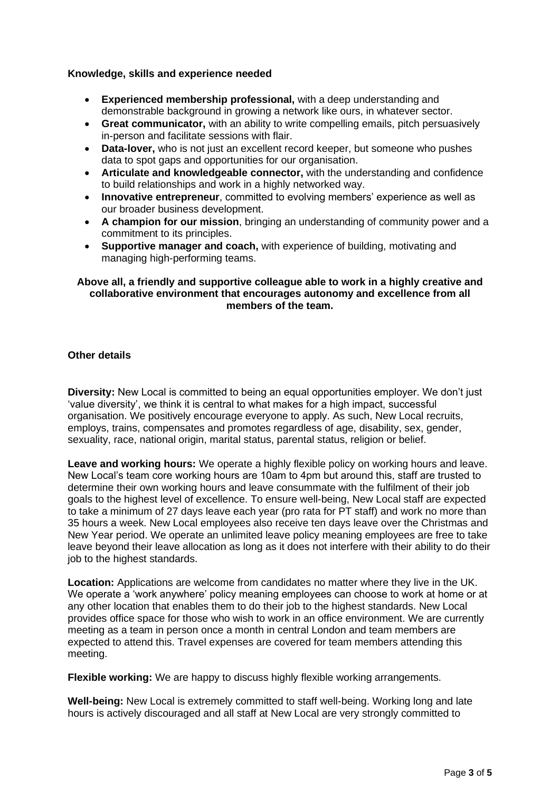#### **Knowledge, skills and experience needed**

- **Experienced membership professional,** with a deep understanding and demonstrable background in growing a network like ours, in whatever sector.
- **Great communicator,** with an ability to write compelling emails, pitch persuasively in-person and facilitate sessions with flair.
- **Data-lover,** who is not just an excellent record keeper, but someone who pushes data to spot gaps and opportunities for our organisation.
- **Articulate and knowledgeable connector,** with the understanding and confidence to build relationships and work in a highly networked way.
- **Innovative entrepreneur**, committed to evolving members' experience as well as our broader business development.
- **A champion for our mission**, bringing an understanding of community power and a commitment to its principles.
- **Supportive manager and coach,** with experience of building, motivating and managing high-performing teams.

### **Above all, a friendly and supportive colleague able to work in a highly creative and collaborative environment that encourages autonomy and excellence from all members of the team.**

# **Other details**

**Diversity:** New Local is committed to being an equal opportunities employer. We don't just 'value diversity', we think it is central to what makes for a high impact, successful organisation. We positively encourage everyone to apply. As such, New Local recruits, employs, trains, compensates and promotes regardless of age, disability, sex, gender, sexuality, race, national origin, marital status, parental status, religion or belief.

**Leave and working hours:** We operate a highly flexible policy on working hours and leave. New Local's team core working hours are 10am to 4pm but around this, staff are trusted to determine their own working hours and leave consummate with the fulfilment of their job goals to the highest level of excellence. To ensure well-being, New Local staff are expected to take a minimum of 27 days leave each year (pro rata for PT staff) and work no more than 35 hours a week. New Local employees also receive ten days leave over the Christmas and New Year period. We operate an unlimited leave policy meaning employees are free to take leave beyond their leave allocation as long as it does not interfere with their ability to do their job to the highest standards.

**Location:** Applications are welcome from candidates no matter where they live in the UK. We operate a 'work anywhere' policy meaning employees can choose to work at home or at any other location that enables them to do their job to the highest standards. New Local provides office space for those who wish to work in an office environment. We are currently meeting as a team in person once a month in central London and team members are expected to attend this. Travel expenses are covered for team members attending this meeting.

**Flexible working:** We are happy to discuss highly flexible working arrangements.

**Well-being:** New Local is extremely committed to staff well-being. Working long and late hours is actively discouraged and all staff at New Local are very strongly committed to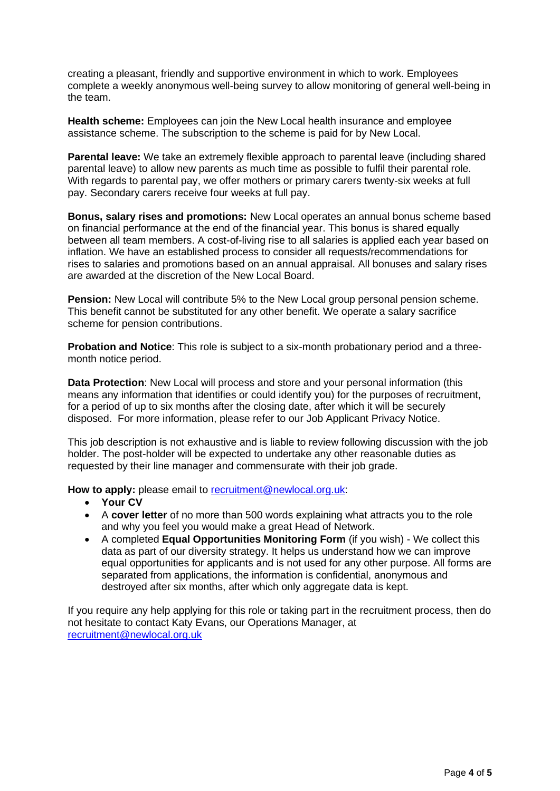creating a pleasant, friendly and supportive environment in which to work. Employees complete a weekly anonymous well-being survey to allow monitoring of general well-being in the team.

**Health scheme:** Employees can join the New Local health insurance and employee assistance scheme. The subscription to the scheme is paid for by New Local.

**Parental leave:** We take an extremely flexible approach to parental leave (including shared parental leave) to allow new parents as much time as possible to fulfil their parental role. With regards to parental pay, we offer mothers or primary carers twenty-six weeks at full pay. Secondary carers receive four weeks at full pay.

**Bonus, salary rises and promotions:** New Local operates an annual bonus scheme based on financial performance at the end of the financial year. This bonus is shared equally between all team members. A cost-of-living rise to all salaries is applied each year based on inflation. We have an established process to consider all requests/recommendations for rises to salaries and promotions based on an annual appraisal. All bonuses and salary rises are awarded at the discretion of the New Local Board.

**Pension:** New Local will contribute 5% to the New Local group personal pension scheme. This benefit cannot be substituted for any other benefit. We operate a salary sacrifice scheme for pension contributions.

**Probation and Notice**: This role is subject to a six-month probationary period and a threemonth notice period.

**Data Protection**: New Local will process and store and your personal information (this means any information that identifies or could identify you) for the purposes of recruitment, for a period of up to six months after the closing date, after which it will be securely disposed. For more information, please refer to our Job Applicant Privacy Notice.

This job description is not exhaustive and is liable to review following discussion with the job holder. The post-holder will be expected to undertake any other reasonable duties as requested by their line manager and commensurate with their job grade.

**How to apply:** please email to [recruitment@newlocal.org.uk:](mailto:recruitment@newlocal.org.uk)

- **Your CV**
- A **cover letter** of no more than 500 words explaining what attracts you to the role and why you feel you would make a great Head of Network.
- A completed **Equal Opportunities Monitoring Form** (if you wish) We collect this data as part of our diversity strategy. It helps us understand how we can improve equal opportunities for applicants and is not used for any other purpose. All forms are separated from applications, the information is confidential, anonymous and destroyed after six months, after which only aggregate data is kept.

If you require any help applying for this role or taking part in the recruitment process, then do not hesitate to contact Katy Evans, our Operations Manager, at [recruitment@newlocal.org.uk](mailto:recruitment@newlocal.org.uk)